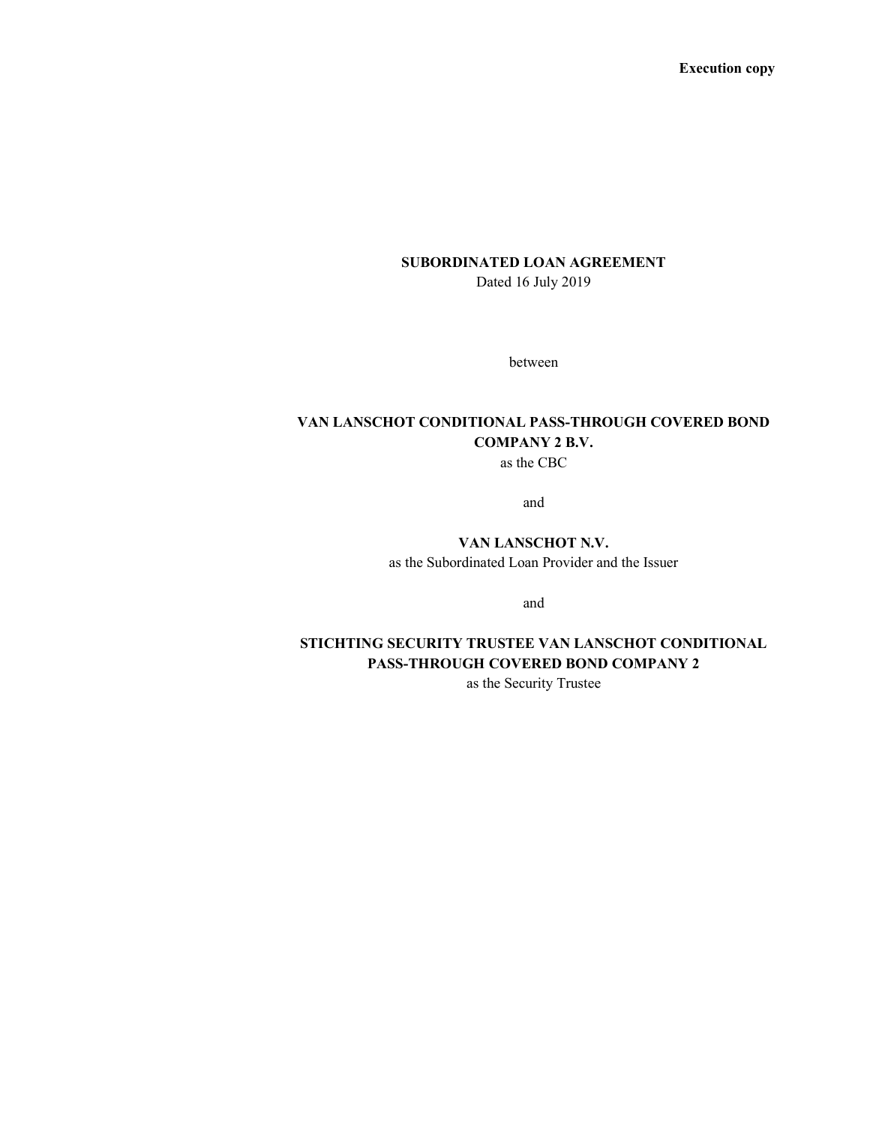Execution copy

# SUBORDINATED LOAN AGREEMENT Dated 16 July 2019

between

# VAN LANSCHOT CONDITIONAL PASS-THROUGH COVERED BOND COMPANY 2 B.V.

as the CBC

and

# VAN LANSCHOT N.V.

as the Subordinated Loan Provider and the Issuer

and

# STICHTING SECURITY TRUSTEE VAN LANSCHOT CONDITIONAL PASS-THROUGH COVERED BOND COMPANY 2

as the Security Trustee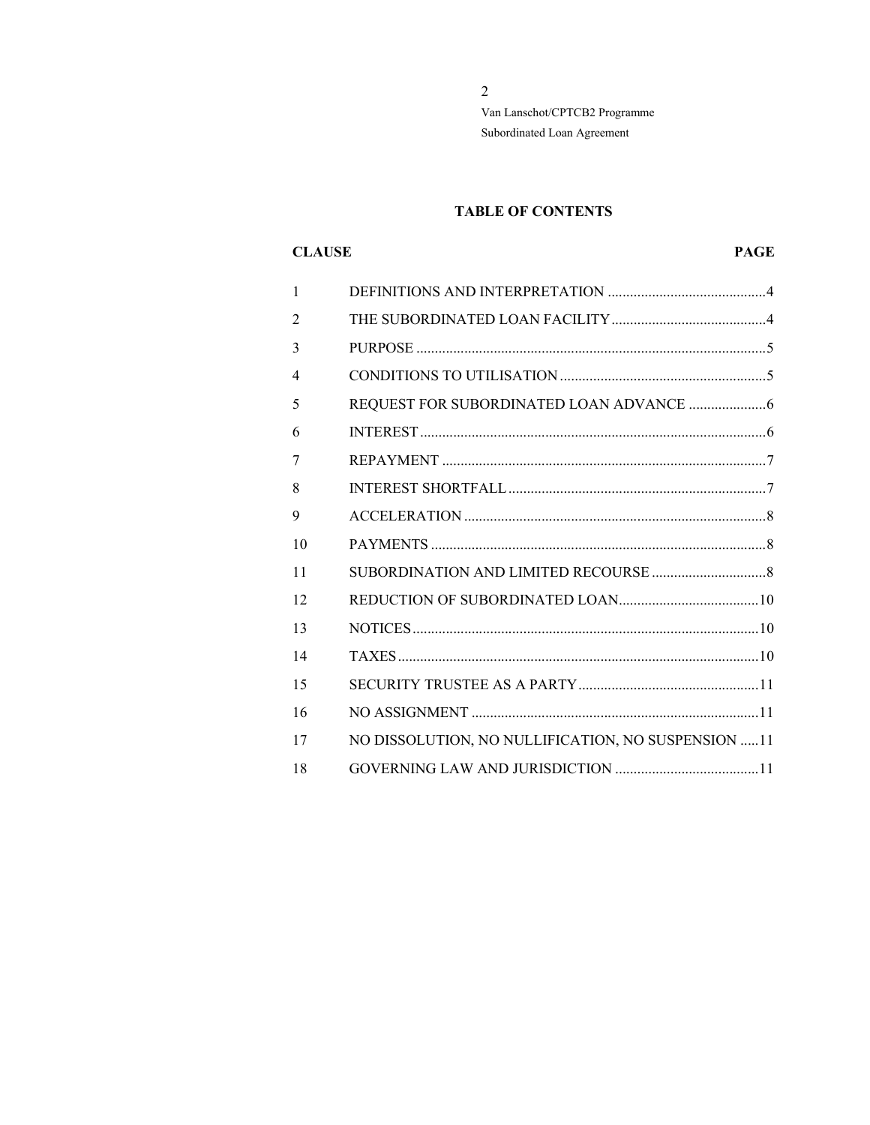# **TABLE OF CONTENTS**

# **CLAUSE**

# **PAGE**

| 1              |                                                    |
|----------------|----------------------------------------------------|
| 2              |                                                    |
| 3              |                                                    |
| $\overline{4}$ |                                                    |
| 5              |                                                    |
| 6              |                                                    |
| 7              |                                                    |
| 8              |                                                    |
| 9              |                                                    |
| 10             |                                                    |
| 11             |                                                    |
| 12             |                                                    |
| 13             |                                                    |
| 14             |                                                    |
| 15             |                                                    |
| 16             |                                                    |
| 17             | NO DISSOLUTION, NO NULLIFICATION, NO SUSPENSION 11 |
| 18             |                                                    |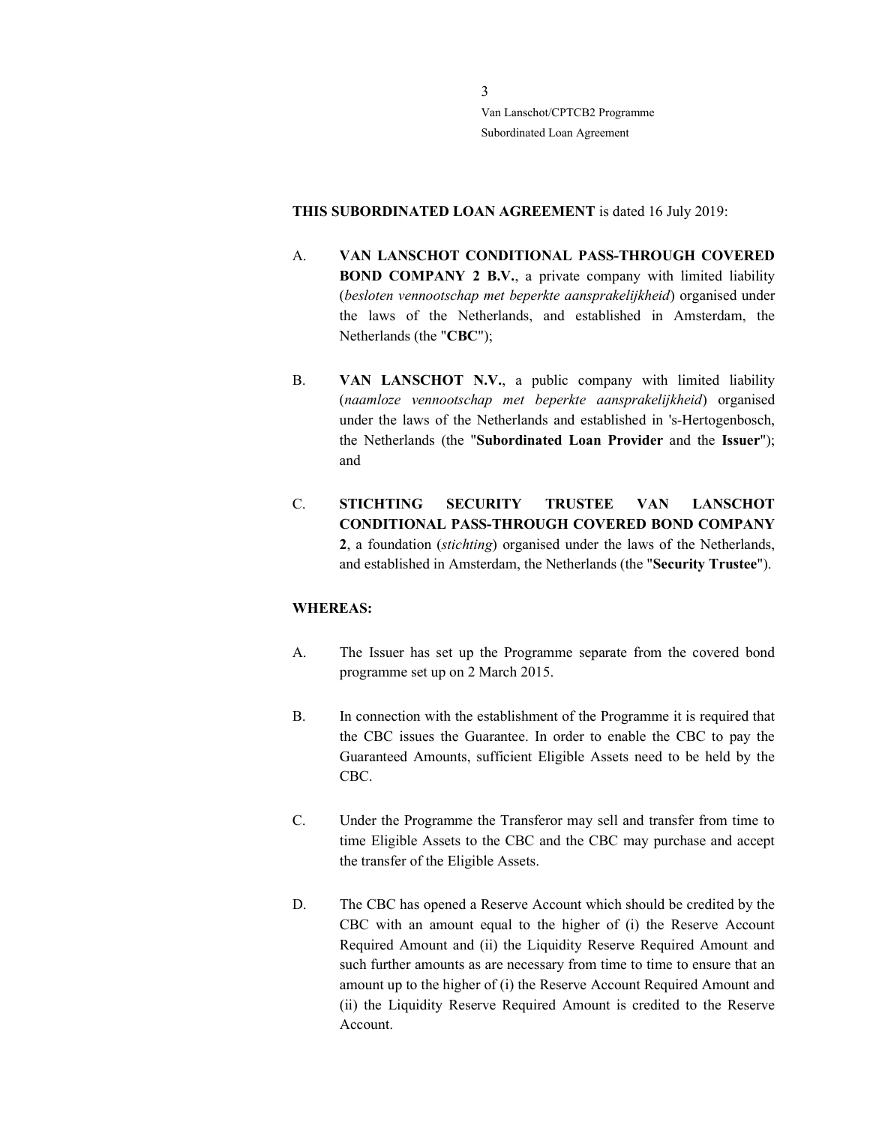THIS SUBORDINATED LOAN AGREEMENT is dated 16 July 2019:

- A. VAN LANSCHOT CONDITIONAL PASS-THROUGH COVERED BOND COMPANY 2 B.V., a private company with limited liability (besloten vennootschap met beperkte aansprakelijkheid) organised under the laws of the Netherlands, and established in Amsterdam, the Netherlands (the "CBC");
- B. VAN LANSCHOT N.V., a public company with limited liability (naamloze vennootschap met beperkte aansprakelijkheid) organised under the laws of the Netherlands and established in 's-Hertogenbosch, the Netherlands (the "Subordinated Loan Provider and the Issuer"); and
- C. STICHTING SECURITY TRUSTEE VAN LANSCHOT CONDITIONAL PASS-THROUGH COVERED BOND COMPANY 2, a foundation (stichting) organised under the laws of the Netherlands, and established in Amsterdam, the Netherlands (the "Security Trustee").

## WHEREAS:

- A. The Issuer has set up the Programme separate from the covered bond programme set up on 2 March 2015.
- B. In connection with the establishment of the Programme it is required that the CBC issues the Guarantee. In order to enable the CBC to pay the Guaranteed Amounts, sufficient Eligible Assets need to be held by the CBC.
- C. Under the Programme the Transferor may sell and transfer from time to time Eligible Assets to the CBC and the CBC may purchase and accept the transfer of the Eligible Assets.
- D. The CBC has opened a Reserve Account which should be credited by the CBC with an amount equal to the higher of (i) the Reserve Account Required Amount and (ii) the Liquidity Reserve Required Amount and such further amounts as are necessary from time to time to ensure that an amount up to the higher of (i) the Reserve Account Required Amount and (ii) the Liquidity Reserve Required Amount is credited to the Reserve Account.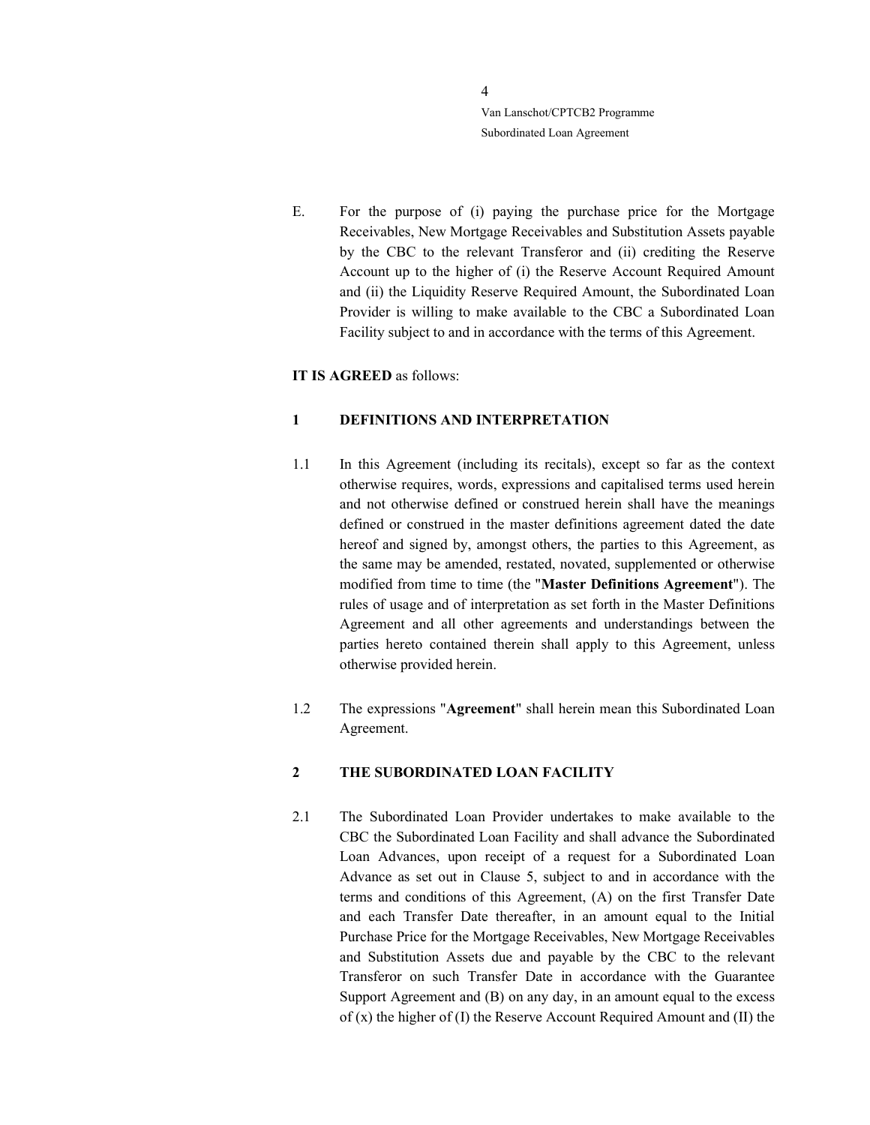E. For the purpose of (i) paying the purchase price for the Mortgage Receivables, New Mortgage Receivables and Substitution Assets payable by the CBC to the relevant Transferor and (ii) crediting the Reserve Account up to the higher of (i) the Reserve Account Required Amount and (ii) the Liquidity Reserve Required Amount, the Subordinated Loan Provider is willing to make available to the CBC a Subordinated Loan Facility subject to and in accordance with the terms of this Agreement.

#### IT IS AGREED as follows:

#### 1 DEFINITIONS AND INTERPRETATION

- 1.1 In this Agreement (including its recitals), except so far as the context otherwise requires, words, expressions and capitalised terms used herein and not otherwise defined or construed herein shall have the meanings defined or construed in the master definitions agreement dated the date hereof and signed by, amongst others, the parties to this Agreement, as the same may be amended, restated, novated, supplemented or otherwise modified from time to time (the "Master Definitions Agreement"). The rules of usage and of interpretation as set forth in the Master Definitions Agreement and all other agreements and understandings between the parties hereto contained therein shall apply to this Agreement, unless otherwise provided herein.
- 1.2 The expressions "Agreement" shall herein mean this Subordinated Loan Agreement.

## 2 THE SUBORDINATED LOAN FACILITY

2.1 The Subordinated Loan Provider undertakes to make available to the CBC the Subordinated Loan Facility and shall advance the Subordinated Loan Advances, upon receipt of a request for a Subordinated Loan Advance as set out in Clause 5, subject to and in accordance with the terms and conditions of this Agreement, (A) on the first Transfer Date and each Transfer Date thereafter, in an amount equal to the Initial Purchase Price for the Mortgage Receivables, New Mortgage Receivables and Substitution Assets due and payable by the CBC to the relevant Transferor on such Transfer Date in accordance with the Guarantee Support Agreement and (B) on any day, in an amount equal to the excess of (x) the higher of (I) the Reserve Account Required Amount and (II) the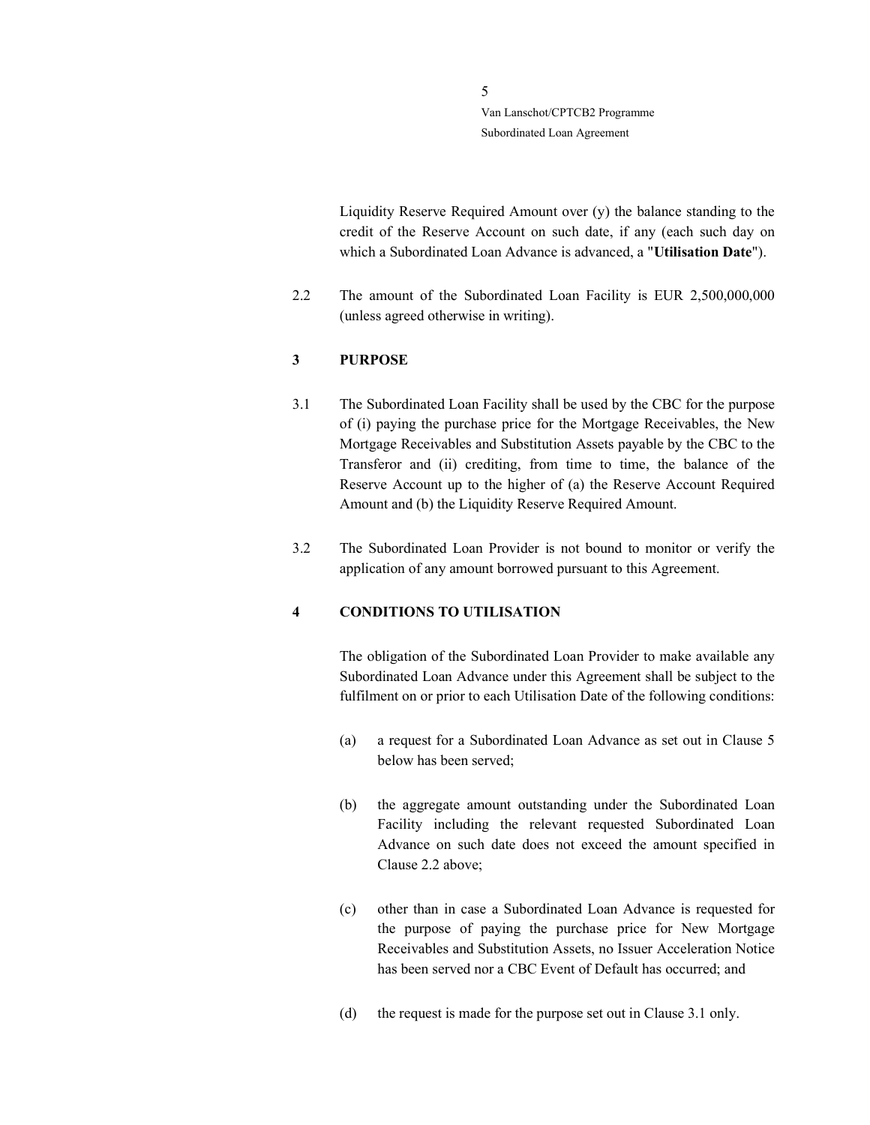> Liquidity Reserve Required Amount over (y) the balance standing to the credit of the Reserve Account on such date, if any (each such day on which a Subordinated Loan Advance is advanced, a "Utilisation Date").

2.2 The amount of the Subordinated Loan Facility is EUR 2,500,000,000 (unless agreed otherwise in writing).

## 3 PURPOSE

- 3.1 The Subordinated Loan Facility shall be used by the CBC for the purpose of (i) paying the purchase price for the Mortgage Receivables, the New Mortgage Receivables and Substitution Assets payable by the CBC to the Transferor and (ii) crediting, from time to time, the balance of the Reserve Account up to the higher of (a) the Reserve Account Required Amount and (b) the Liquidity Reserve Required Amount.
- 3.2 The Subordinated Loan Provider is not bound to monitor or verify the application of any amount borrowed pursuant to this Agreement.

#### 4 CONDITIONS TO UTILISATION

The obligation of the Subordinated Loan Provider to make available any Subordinated Loan Advance under this Agreement shall be subject to the fulfilment on or prior to each Utilisation Date of the following conditions:

- (a) a request for a Subordinated Loan Advance as set out in Clause 5 below has been served;
- (b) the aggregate amount outstanding under the Subordinated Loan Facility including the relevant requested Subordinated Loan Advance on such date does not exceed the amount specified in Clause 2.2 above;
- (c) other than in case a Subordinated Loan Advance is requested for the purpose of paying the purchase price for New Mortgage Receivables and Substitution Assets, no Issuer Acceleration Notice has been served nor a CBC Event of Default has occurred; and
- (d) the request is made for the purpose set out in Clause 3.1 only.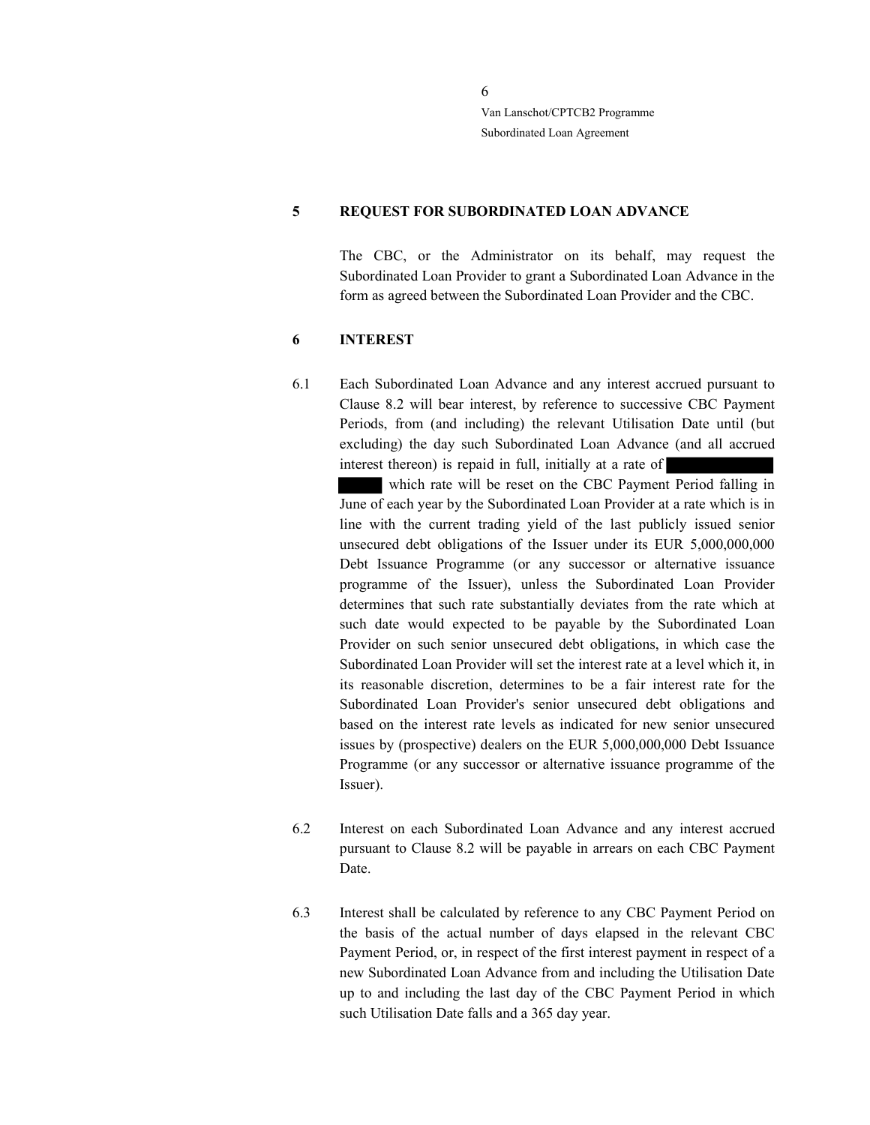#### 5 REQUEST FOR SUBORDINATED LOAN ADVANCE

The CBC, or the Administrator on its behalf, may request the Subordinated Loan Provider to grant a Subordinated Loan Advance in the form as agreed between the Subordinated Loan Provider and the CBC.

#### 6 INTEREST

6.1 Each Subordinated Loan Advance and any interest accrued pursuant to Clause 8.2 will bear interest, by reference to successive CBC Payment Periods, from (and including) the relevant Utilisation Date until (but excluding) the day such Subordinated Loan Advance (and all accrued interest thereon) is repaid in full, initially at a rate of

 which rate will be reset on the CBC Payment Period falling in June of each year by the Subordinated Loan Provider at a rate which is in line with the current trading yield of the last publicly issued senior unsecured debt obligations of the Issuer under its EUR 5,000,000,000 Debt Issuance Programme (or any successor or alternative issuance programme of the Issuer), unless the Subordinated Loan Provider determines that such rate substantially deviates from the rate which at such date would expected to be payable by the Subordinated Loan Provider on such senior unsecured debt obligations, in which case the Subordinated Loan Provider will set the interest rate at a level which it, in its reasonable discretion, determines to be a fair interest rate for the Subordinated Loan Provider's senior unsecured debt obligations and based on the interest rate levels as indicated for new senior unsecured issues by (prospective) dealers on the EUR 5,000,000,000 Debt Issuance Programme (or any successor or alternative issuance programme of the Issuer).

- 6.2 Interest on each Subordinated Loan Advance and any interest accrued pursuant to Clause 8.2 will be payable in arrears on each CBC Payment Date.
- 6.3 Interest shall be calculated by reference to any CBC Payment Period on the basis of the actual number of days elapsed in the relevant CBC Payment Period, or, in respect of the first interest payment in respect of a new Subordinated Loan Advance from and including the Utilisation Date up to and including the last day of the CBC Payment Period in which such Utilisation Date falls and a 365 day year.

6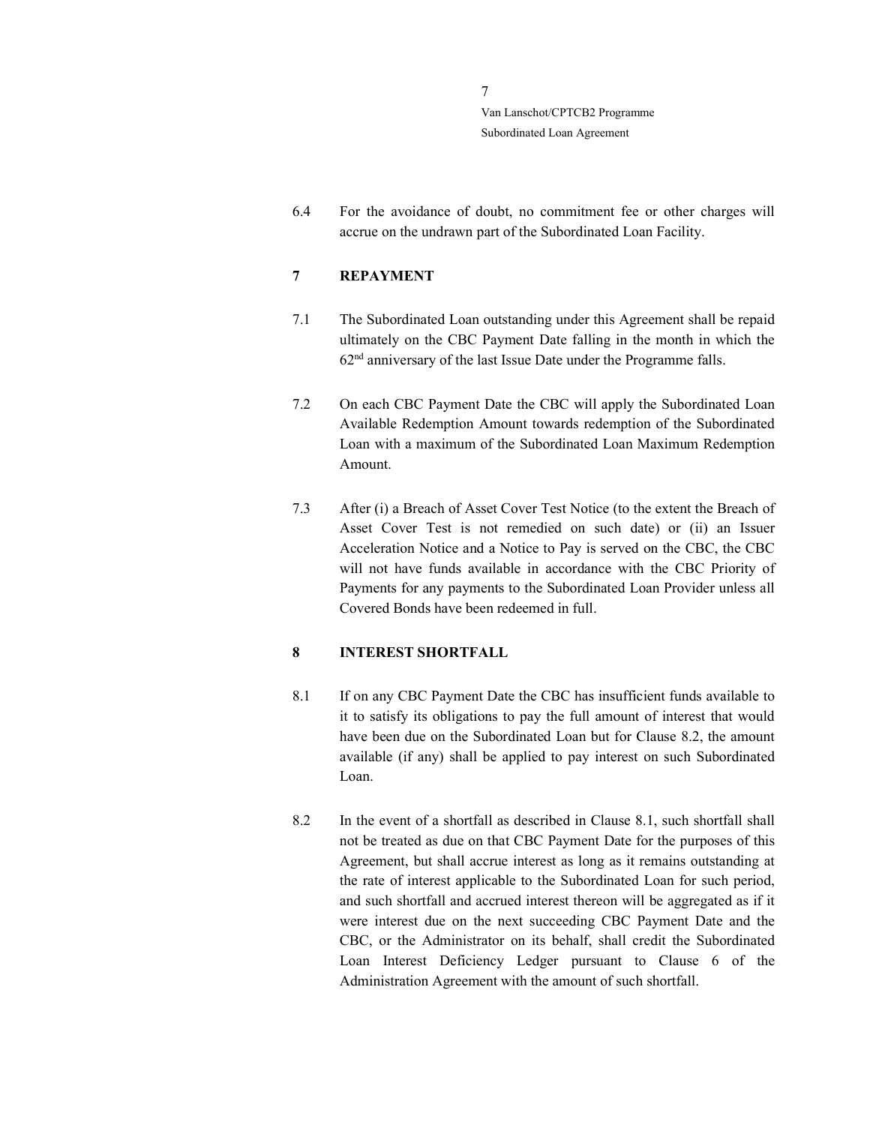6.4 For the avoidance of doubt, no commitment fee or other charges will accrue on the undrawn part of the Subordinated Loan Facility.

# 7 REPAYMENT

- 7.1 The Subordinated Loan outstanding under this Agreement shall be repaid ultimately on the CBC Payment Date falling in the month in which the 62nd anniversary of the last Issue Date under the Programme falls.
- 7.2 On each CBC Payment Date the CBC will apply the Subordinated Loan Available Redemption Amount towards redemption of the Subordinated Loan with a maximum of the Subordinated Loan Maximum Redemption Amount.
- 7.3 After (i) a Breach of Asset Cover Test Notice (to the extent the Breach of Asset Cover Test is not remedied on such date) or (ii) an Issuer Acceleration Notice and a Notice to Pay is served on the CBC, the CBC will not have funds available in accordance with the CBC Priority of Payments for any payments to the Subordinated Loan Provider unless all Covered Bonds have been redeemed in full.

### 8 INTEREST SHORTFALL

- 8.1 If on any CBC Payment Date the CBC has insufficient funds available to it to satisfy its obligations to pay the full amount of interest that would have been due on the Subordinated Loan but for Clause 8.2, the amount available (if any) shall be applied to pay interest on such Subordinated Loan.
- 8.2 In the event of a shortfall as described in Clause 8.1, such shortfall shall not be treated as due on that CBC Payment Date for the purposes of this Agreement, but shall accrue interest as long as it remains outstanding at the rate of interest applicable to the Subordinated Loan for such period, and such shortfall and accrued interest thereon will be aggregated as if it were interest due on the next succeeding CBC Payment Date and the CBC, or the Administrator on its behalf, shall credit the Subordinated Loan Interest Deficiency Ledger pursuant to Clause 6 of the Administration Agreement with the amount of such shortfall.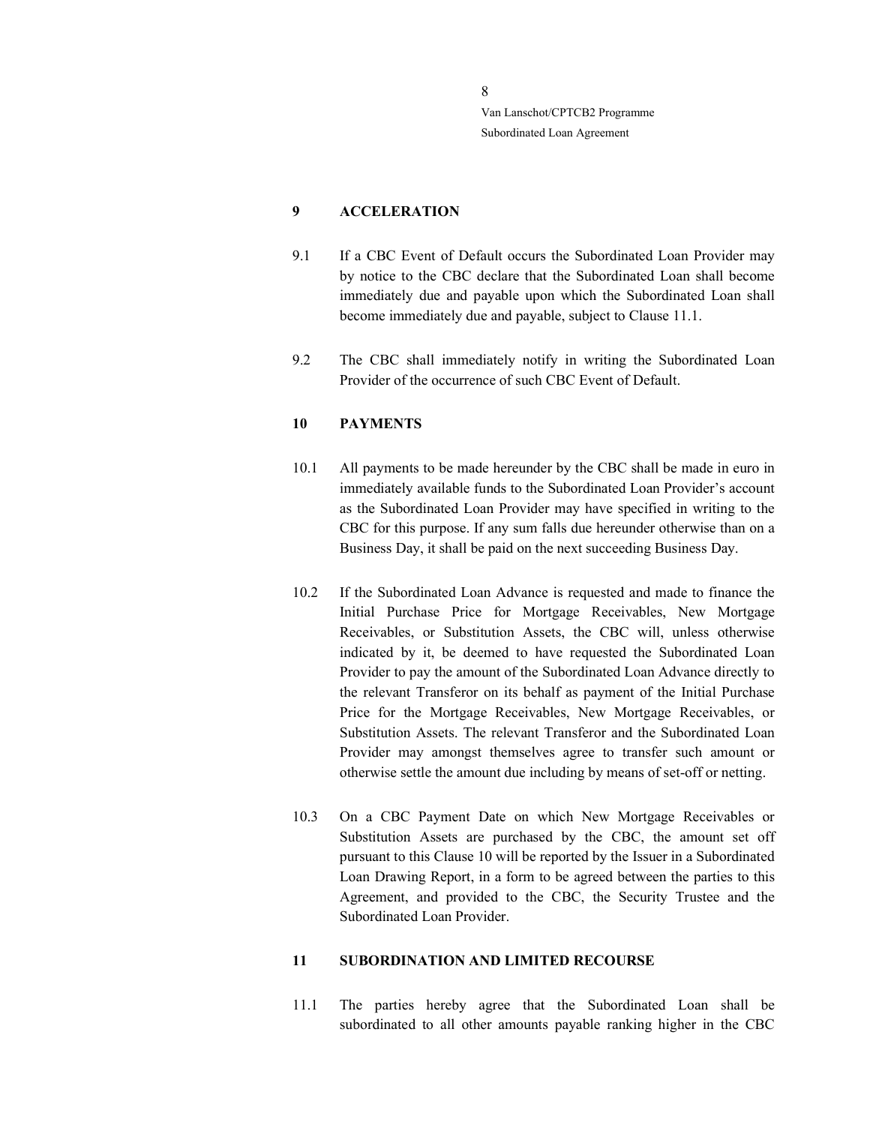## 9 ACCELERATION

- 9.1 If a CBC Event of Default occurs the Subordinated Loan Provider may by notice to the CBC declare that the Subordinated Loan shall become immediately due and payable upon which the Subordinated Loan shall become immediately due and payable, subject to Clause 11.1.
- 9.2 The CBC shall immediately notify in writing the Subordinated Loan Provider of the occurrence of such CBC Event of Default.

#### 10 PAYMENTS

- 10.1 All payments to be made hereunder by the CBC shall be made in euro in immediately available funds to the Subordinated Loan Provider's account as the Subordinated Loan Provider may have specified in writing to the CBC for this purpose. If any sum falls due hereunder otherwise than on a Business Day, it shall be paid on the next succeeding Business Day.
- 10.2 If the Subordinated Loan Advance is requested and made to finance the Initial Purchase Price for Mortgage Receivables, New Mortgage Receivables, or Substitution Assets, the CBC will, unless otherwise indicated by it, be deemed to have requested the Subordinated Loan Provider to pay the amount of the Subordinated Loan Advance directly to the relevant Transferor on its behalf as payment of the Initial Purchase Price for the Mortgage Receivables, New Mortgage Receivables, or Substitution Assets. The relevant Transferor and the Subordinated Loan Provider may amongst themselves agree to transfer such amount or otherwise settle the amount due including by means of set-off or netting.
- 10.3 On a CBC Payment Date on which New Mortgage Receivables or Substitution Assets are purchased by the CBC, the amount set off pursuant to this Clause 10 will be reported by the Issuer in a Subordinated Loan Drawing Report, in a form to be agreed between the parties to this Agreement, and provided to the CBC, the Security Trustee and the Subordinated Loan Provider.

#### 11 SUBORDINATION AND LIMITED RECOURSE

11.1 The parties hereby agree that the Subordinated Loan shall be subordinated to all other amounts payable ranking higher in the CBC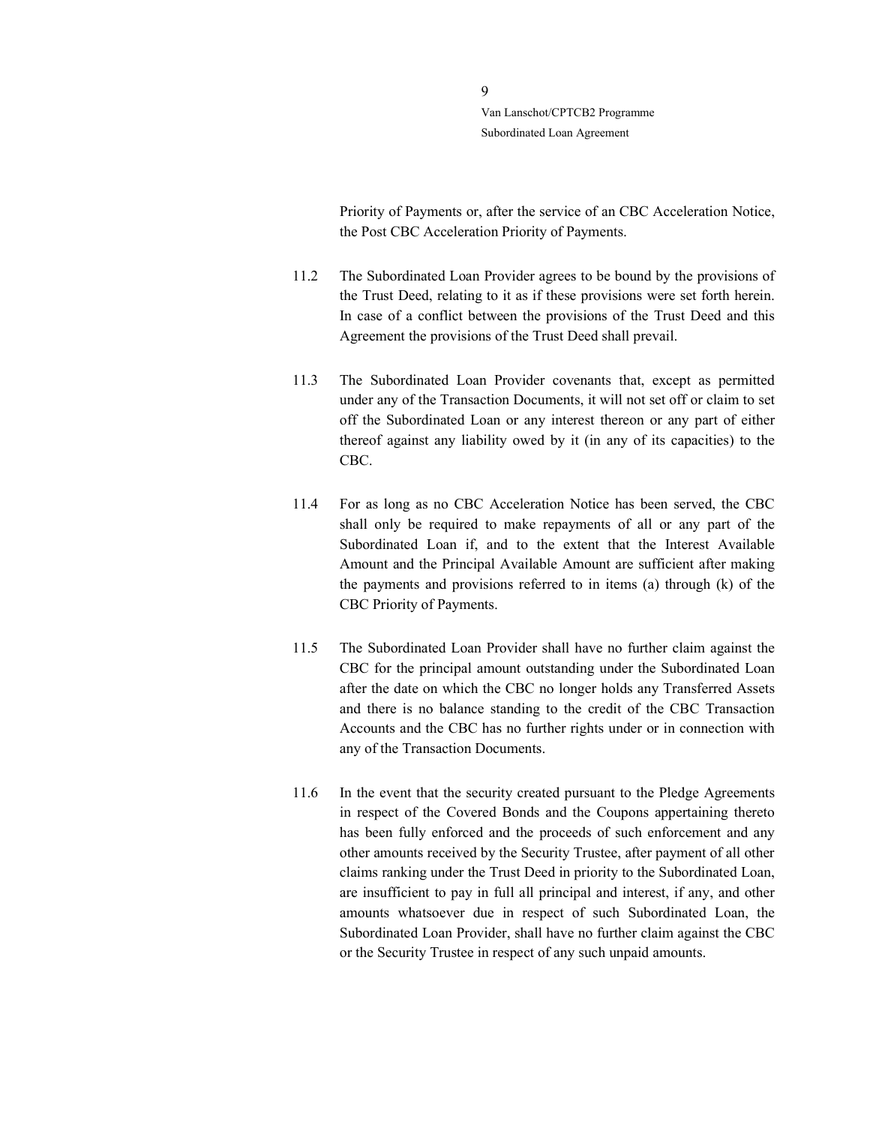> Priority of Payments or, after the service of an CBC Acceleration Notice, the Post CBC Acceleration Priority of Payments.

- 11.2 The Subordinated Loan Provider agrees to be bound by the provisions of the Trust Deed, relating to it as if these provisions were set forth herein. In case of a conflict between the provisions of the Trust Deed and this Agreement the provisions of the Trust Deed shall prevail.
- 11.3 The Subordinated Loan Provider covenants that, except as permitted under any of the Transaction Documents, it will not set off or claim to set off the Subordinated Loan or any interest thereon or any part of either thereof against any liability owed by it (in any of its capacities) to the CBC.
- 11.4 For as long as no CBC Acceleration Notice has been served, the CBC shall only be required to make repayments of all or any part of the Subordinated Loan if, and to the extent that the Interest Available Amount and the Principal Available Amount are sufficient after making the payments and provisions referred to in items (a) through (k) of the CBC Priority of Payments.
- 11.5 The Subordinated Loan Provider shall have no further claim against the CBC for the principal amount outstanding under the Subordinated Loan after the date on which the CBC no longer holds any Transferred Assets and there is no balance standing to the credit of the CBC Transaction Accounts and the CBC has no further rights under or in connection with any of the Transaction Documents.
- 11.6 In the event that the security created pursuant to the Pledge Agreements in respect of the Covered Bonds and the Coupons appertaining thereto has been fully enforced and the proceeds of such enforcement and any other amounts received by the Security Trustee, after payment of all other claims ranking under the Trust Deed in priority to the Subordinated Loan, are insufficient to pay in full all principal and interest, if any, and other amounts whatsoever due in respect of such Subordinated Loan, the Subordinated Loan Provider, shall have no further claim against the CBC or the Security Trustee in respect of any such unpaid amounts.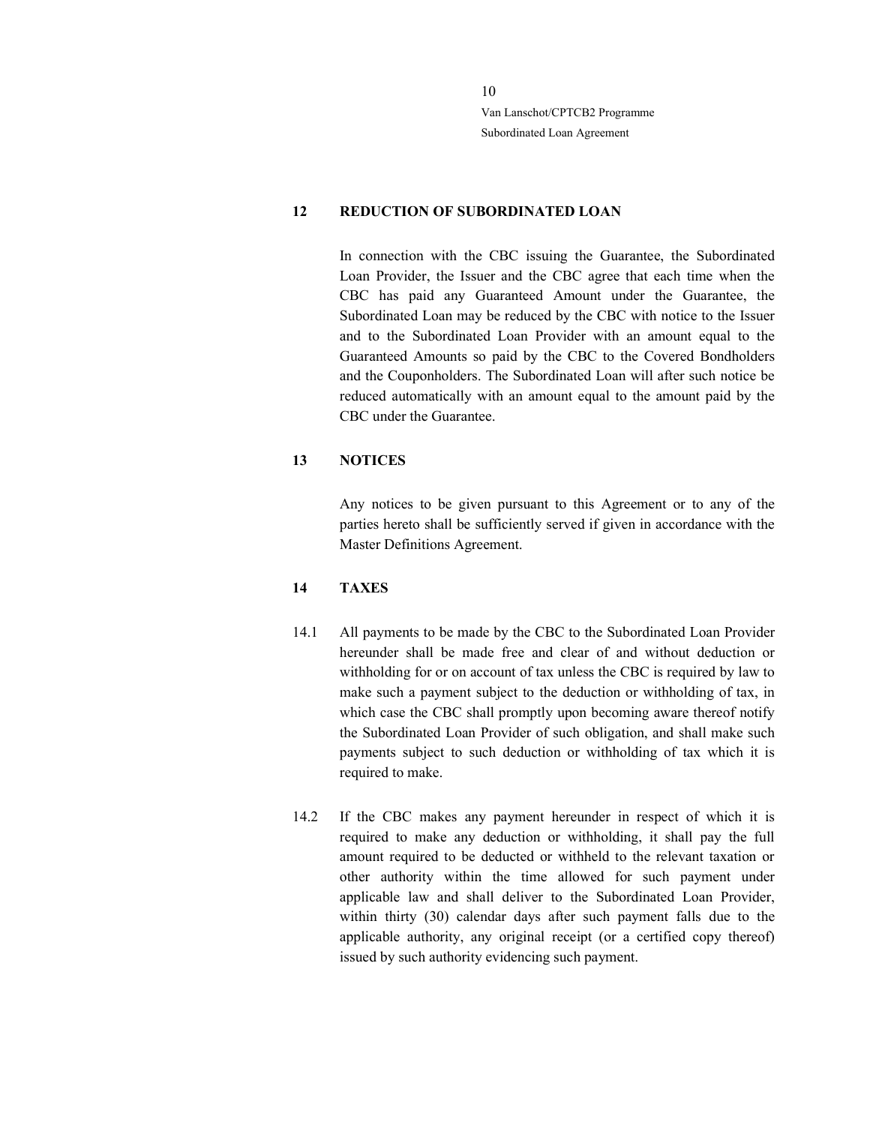## 12 REDUCTION OF SUBORDINATED LOAN

In connection with the CBC issuing the Guarantee, the Subordinated Loan Provider, the Issuer and the CBC agree that each time when the CBC has paid any Guaranteed Amount under the Guarantee, the Subordinated Loan may be reduced by the CBC with notice to the Issuer and to the Subordinated Loan Provider with an amount equal to the Guaranteed Amounts so paid by the CBC to the Covered Bondholders and the Couponholders. The Subordinated Loan will after such notice be reduced automatically with an amount equal to the amount paid by the CBC under the Guarantee.

### 13 NOTICES

Any notices to be given pursuant to this Agreement or to any of the parties hereto shall be sufficiently served if given in accordance with the Master Definitions Agreement.

#### 14 TAXES

- 14.1 All payments to be made by the CBC to the Subordinated Loan Provider hereunder shall be made free and clear of and without deduction or withholding for or on account of tax unless the CBC is required by law to make such a payment subject to the deduction or withholding of tax, in which case the CBC shall promptly upon becoming aware thereof notify the Subordinated Loan Provider of such obligation, and shall make such payments subject to such deduction or withholding of tax which it is required to make.
- 14.2 If the CBC makes any payment hereunder in respect of which it is required to make any deduction or withholding, it shall pay the full amount required to be deducted or withheld to the relevant taxation or other authority within the time allowed for such payment under applicable law and shall deliver to the Subordinated Loan Provider, within thirty (30) calendar days after such payment falls due to the applicable authority, any original receipt (or a certified copy thereof) issued by such authority evidencing such payment.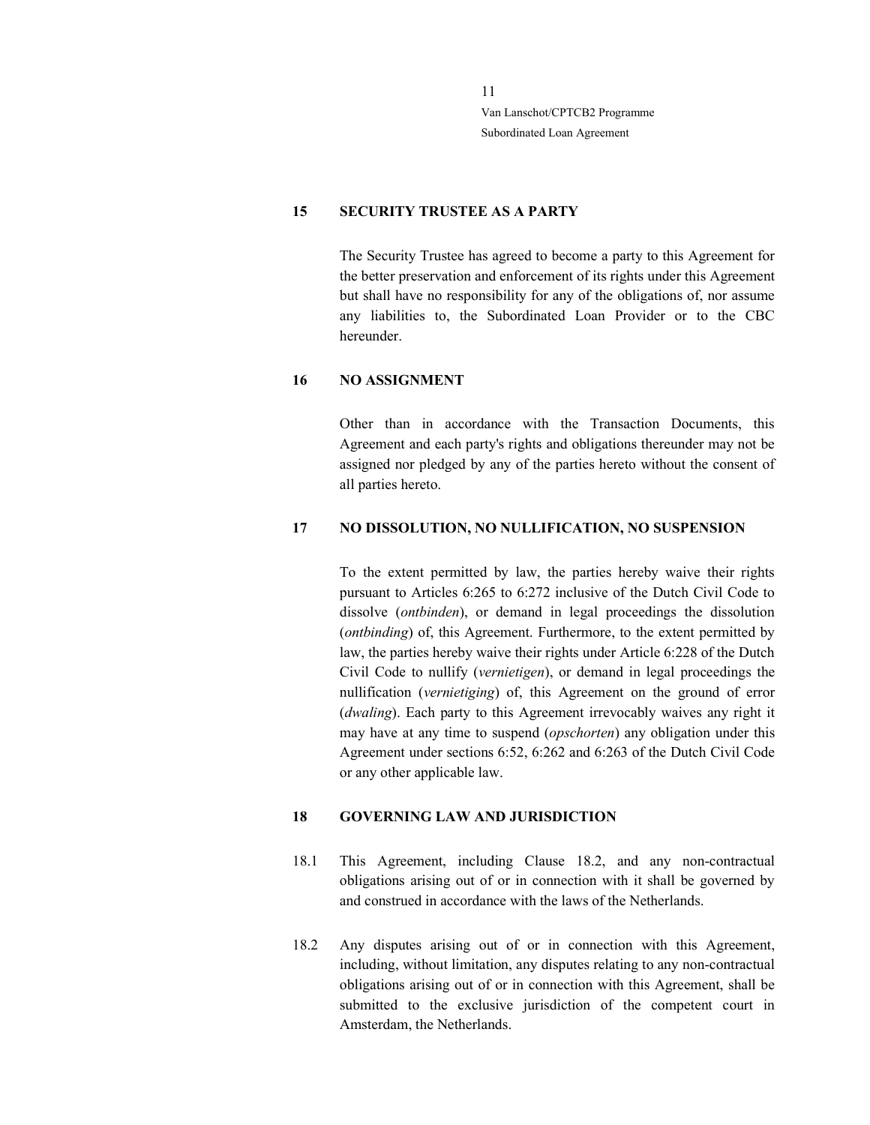## 15 SECURITY TRUSTEE AS A PARTY

The Security Trustee has agreed to become a party to this Agreement for the better preservation and enforcement of its rights under this Agreement but shall have no responsibility for any of the obligations of, nor assume any liabilities to, the Subordinated Loan Provider or to the CBC hereunder.

#### 16 NO ASSIGNMENT

Other than in accordance with the Transaction Documents, this Agreement and each party's rights and obligations thereunder may not be assigned nor pledged by any of the parties hereto without the consent of all parties hereto.

#### 17 NO DISSOLUTION, NO NULLIFICATION, NO SUSPENSION

To the extent permitted by law, the parties hereby waive their rights pursuant to Articles 6:265 to 6:272 inclusive of the Dutch Civil Code to dissolve (ontbinden), or demand in legal proceedings the dissolution (ontbinding) of, this Agreement. Furthermore, to the extent permitted by law, the parties hereby waive their rights under Article 6:228 of the Dutch Civil Code to nullify (vernietigen), or demand in legal proceedings the nullification (vernietiging) of, this Agreement on the ground of error (dwaling). Each party to this Agreement irrevocably waives any right it may have at any time to suspend (*opschorten*) any obligation under this Agreement under sections 6:52, 6:262 and 6:263 of the Dutch Civil Code or any other applicable law.

## 18 GOVERNING LAW AND JURISDICTION

- 18.1 This Agreement, including Clause 18.2, and any non-contractual obligations arising out of or in connection with it shall be governed by and construed in accordance with the laws of the Netherlands.
- 18.2 Any disputes arising out of or in connection with this Agreement, including, without limitation, any disputes relating to any non-contractual obligations arising out of or in connection with this Agreement, shall be submitted to the exclusive jurisdiction of the competent court in Amsterdam, the Netherlands.